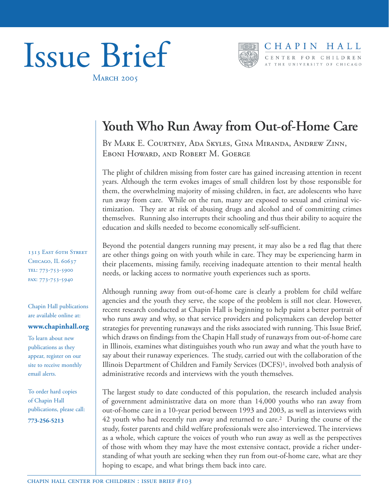



# **Youth Who Run Away from Out-of-Home Care**

BY MARK E. COURTNEY, ADA SKYLES, GINA MIRANDA, ANDREW ZINN, EBONI HOWARD, AND ROBERT M. GOERGE

The plight of children missing from foster care has gained increasing attention in recent years. Although the term evokes images of small children lost by those responsible for them, the overwhelming majority of missing children, in fact, are adolescents who have run away from care. While on the run, many are exposed to sexual and criminal victimization. They are at risk of abusing drugs and alcohol and of committing crimes themselves. Running also interrupts their schooling and thus their ability to acquire the education and skills needed to become economically self-sufficient.

Beyond the potential dangers running may present, it may also be a red flag that there are other things going on with youth while in care. They may be experiencing harm in their placements, missing family, receiving inadequate attention to their mental health needs, or lacking access to normative youth experiences such as sports.

Although running away from out-of-home care is clearly a problem for child welfare agencies and the youth they serve, the scope of the problem is still not clear. However, recent research conducted at Chapin Hall is beginning to help paint a better portrait of who runs away and why, so that service providers and policymakers can develop better strategies for preventing runaways and the risks associated with running. This Issue Brief, which draws on findings from the Chapin Hall study of runaways from out-of-home care in Illinois, examines what distinguishes youth who run away and what the youth have to say about their runaway experiences. The study, carried out with the collaboration of the Illinois Department of Children and Family Services (DCFS)1, involved both analysis of administrative records and interviews with the youth themselves.

The largest study to date conducted of this population, the research included analysis of government administrative data on more than 14,000 youths who ran away from out-of-home care in a 10-year period between 1993 and 2003, as well as interviews with 42 youth who had recently run away and returned to care.2 During the course of the study, foster parents and child welfare professionals were also interviewed. The interviews as a whole, which capture the voices of youth who run away as well as the perspectives of those with whom they may have the most extensive contact, provide a richer understanding of what youth are seeking when they run from out-of-home care, what are they hoping to escape, and what brings them back into care.

1313 EAST 60TH STREET CHICAGO, IL 60637 TEL: 773-753-5900 FAX: 773-753-5940

Chapin Hall publications are available online at:

#### **www.chapinhall.org**

To learn about new publications as they appear, register on our site to receive monthly email alerts.

To order hard copies of Chapin Hall publications, please call:

**773-256-5213**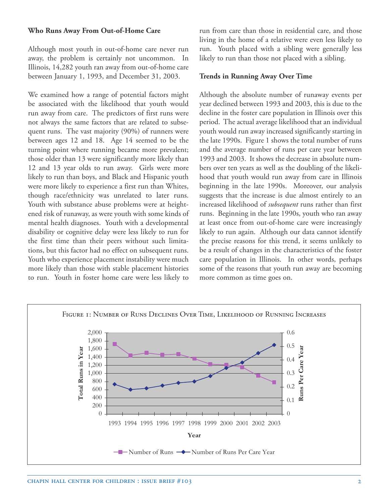#### **Who Runs Away From Out-of-Home Care**

Although most youth in out-of-home care never run away, the problem is certainly not uncommon. In Illinois, 14,282 youth ran away from out-of-home care between January 1, 1993, and December 31, 2003.

We examined how a range of potential factors might be associated with the likelihood that youth would run away from care. The predictors of first runs were not always the same factors that are related to subsequent runs. The vast majority (90%) of runners were between ages 12 and 18. Age 14 seemed to be the turning point where running became more prevalent; those older than 13 were significantly more likely than 12 and 13 year olds to run away. Girls were more likely to run than boys, and Black and Hispanic youth were more likely to experience a first run than Whites, though race/ethnicity was unrelated to later runs. Youth with substance abuse problems were at heightened risk of runaway, as were youth with some kinds of mental health diagnoses. Youth with a developmental disability or cognitive delay were less likely to run for the first time than their peers without such limitations, but this factor had no effect on subsequent runs. Youth who experience placement instability were much more likely than those with stable placement histories to run. Youth in foster home care were less likely to

run from care than those in residential care, and those living in the home of a relative were even less likely to run. Youth placed with a sibling were generally less likely to run than those not placed with a sibling.

#### **Trends in Running Away Over Time**

Although the absolute number of runaway events per year declined between 1993 and 2003, this is due to the decline in the foster care population in Illinois over this period. The actual average likelihood that an individual youth would run away increased significantly starting in the late 1990s. Figure 1 shows the total number of runs and the average number of runs per care year between 1993 and 2003. It shows the decrease in absolute numbers over ten years as well as the doubling of the likelihood that youth would run away from care in Illinois beginning in the late 1990s. Moreover, our analysis suggests that the increase is due almost entirely to an increased likelihood of *subsequent* runs rather than first runs. Beginning in the late 1990s, youth who ran away at least once from out-of-home care were increasingly likely to run again. Although our data cannot identify the precise reasons for this trend, it seems unlikely to be a result of changes in the characteristics of the foster care population in Illinois. In other words, perhaps some of the reasons that youth run away are becoming more common as time goes on.

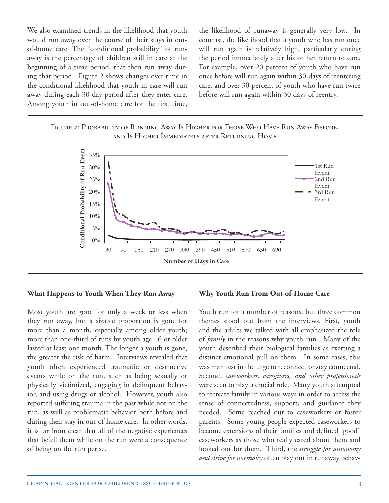We also examined trends in the likelihood that youth would run away over the course of their stays in outof-home care. The "conditional probability" of runaway is the percentage of children still in care at the beginning of a time period, that then run away during that period. Figure 2 shows changes over time in the conditional likelihood that youth in care will run away during each 30-day period after they enter care. Among youth in out-of-home care for the first time,

the likelihood of runaway is generally very low. In contrast, the likelihood that a youth who has run once will run again is relatively high, particularly during the period immediately after his or her return to care. For example, over 20 percent of youth who have run once before will run again within 30 days of reentering care, and over 30 percent of youth who have run twice before will run again within 30 days of reentry.



#### **What Happens to Youth When They Run Away**

Most youth are gone for only a week or less when they run away, but a sizable proportion is gone for more than a month, especially among older youth; more than one-third of runs by youth age 16 or older lasted at least one month. The longer a youth is gone, the greater the risk of harm. Interviews revealed that youth often experienced traumatic or destructive events while on the run, such as being sexually or physically victimized, engaging in delinquent behavior, and using drugs or alcohol. However, youth also reported suffering trauma in the past while not on the run, as well as problematic behavior both before and during their stay in out-of-home care. In other words, it is far from clear that all of the negative experiences that befell them while on the run were a consequence of being on the run per se.

#### **Why Youth Run From Out-of-Home Care**

Youth run for a number of reasons, but three common themes stood out from the interviews. First, youth and the adults we talked with all emphasized the role of *family* in the reasons why youth run. Many of the youth described their biological families as exerting a distinct emotional pull on them. In some cases, this was manifest in the urge to reconnect or stay connected. Second, *caseworkers, caregivers, and other professionals*  were seen to play a crucial role. Many youth attempted to recreate family in various ways in order to access the sense of connectedness, support, and guidance they needed. Some reached out to caseworkers or foster parents. Some young people expected caseworkers to become extensions of their families and defined "good" caseworkers as those who really cared about them and looked out for them. Third, the *struggle for autonomy and drive for normalcy* often play out in runaway behav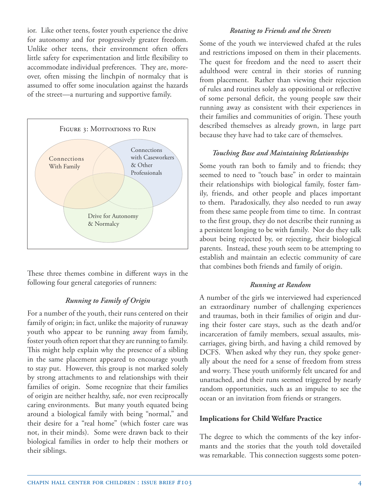ior. Like other teens, foster youth experience the drive for autonomy and for progressively greater freedom. Unlike other teens, their environment often offers little safety for experimentation and little flexibility to accommodate individual preferences. They are, moreover, often missing the linchpin of normalcy that is assumed to offer some inoculation against the hazards of the street—a nurturing and supportive family.



These three themes combine in different ways in the following four general categories of runners:

## *Running to Family of Origin*

For a number of the youth, their runs centered on their family of origin; in fact, unlike the majority of runaway youth who appear to be running away from family, foster youth often report that they are running to family. This might help explain why the presence of a sibling in the same placement appeared to encourage youth to stay put. However, this group is not marked solely by strong attachments to and relationships with their families of origin. Some recognize that their families of origin are neither healthy, safe, nor even reciprocally caring environments. But many youth equated being around a biological family with being "normal," and their desire for a "real home" (which foster care was not, in their minds). Some were drawn back to their biological families in order to help their mothers or their siblings.

### *Rotating to Friends and the Streets*

Some of the youth we interviewed chafed at the rules and restrictions imposed on them in their placements. The quest for freedom and the need to assert their adulthood were central in their stories of running from placement. Rather than viewing their rejection of rules and routines solely as oppositional or reflective of some personal deficit, the young people saw their running away as consistent with their experiences in their families and communities of origin. These youth described themselves as already grown, in large part because they have had to take care of themselves.

#### *Touching Base and Maintaining Relationships*

Some youth ran both to family and to friends; they seemed to need to "touch base" in order to maintain their relationships with biological family, foster family, friends, and other people and places important to them. Paradoxically, they also needed to run away from these same people from time to time. In contrast to the first group, they do not describe their running as a persistent longing to be with family. Nor do they talk about being rejected by, or rejecting, their biological parents. Instead, these youth seem to be attempting to establish and maintain an eclectic community of care that combines both friends and family of origin.

## *Running at Random*

A number of the girls we interviewed had experienced an extraordinary number of challenging experiences and traumas, both in their families of origin and during their foster care stays, such as the death and/or incarceration of family members, sexual assaults, miscarriages, giving birth, and having a child removed by DCFS. When asked why they run, they spoke generally about the need for a sense of freedom from stress and worry. These youth uniformly felt uncared for and unattached, and their runs seemed triggered by nearly random opportunities, such as an impulse to see the ocean or an invitation from friends or strangers.

## **Implications for Child Welfare Practice**

The degree to which the comments of the key informants and the stories that the youth told dovetailed was remarkable. This connection suggests some poten-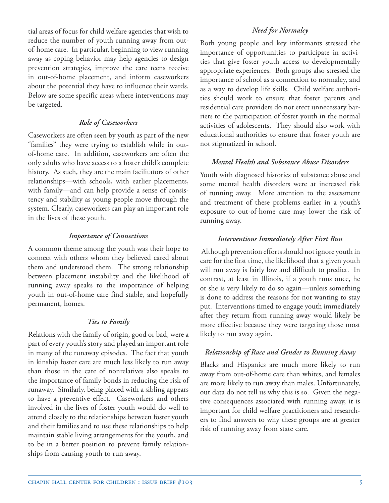tial areas of focus for child welfare agencies that wish to reduce the number of youth running away from outof-home care. In particular, beginning to view running away as coping behavior may help agencies to design prevention strategies, improve the care teens receive in out-of-home placement, and inform caseworkers about the potential they have to influence their wards. Below are some specific areas where interventions may be targeted.

## *Role of Caseworkers*

Caseworkers are often seen by youth as part of the new "families" they were trying to establish while in outof-home care. In addition, caseworkers are often the only adults who have access to a foster child's complete history. As such, they are the main facilitators of other relationships—with schools, with earlier placements, with family—and can help provide a sense of consistency and stability as young people move through the system. Clearly, caseworkers can play an important role in the lives of these youth.

# *Importance of Connections*

A common theme among the youth was their hope to connect with others whom they believed cared about them and understood them. The strong relationship between placement instability and the likelihood of running away speaks to the importance of helping youth in out-of-home care find stable, and hopefully permanent, homes.

## *Ties to Family*

Relations with the family of origin, good or bad, were a part of every youth's story and played an important role in many of the runaway episodes. The fact that youth in kinship foster care are much less likely to run away than those in the care of nonrelatives also speaks to the importance of family bonds in reducing the risk of runaway. Similarly, being placed with a sibling appears to have a preventive effect. Caseworkers and others involved in the lives of foster youth would do well to attend closely to the relationships between foster youth and their families and to use these relationships to help maintain stable living arrangements for the youth, and to be in a better position to prevent family relationships from causing youth to run away.

Both young people and key informants stressed the importance of opportunities to participate in activities that give foster youth access to developmentally appropriate experiences. Both groups also stressed the importance of school as a connection to normalcy, and as a way to develop life skills. Child welfare authorities should work to ensure that foster parents and residential care providers do not erect unnecessary barriers to the participation of foster youth in the normal activities of adolescents. They should also work with educational authorities to ensure that foster youth are not stigmatized in school.

# *Mental Health and Substance Abuse Disorders*

Youth with diagnosed histories of substance abuse and some mental health disorders were at increased risk of running away. More attention to the assessment and treatment of these problems earlier in a youth's exposure to out-of-home care may lower the risk of running away.

# *Interventions Immediately After First Run*

 Although prevention efforts should not ignore youth in care for the first time, the likelihood that a given youth will run away is fairly low and difficult to predict. In contrast, at least in Illinois, if a youth runs once, he or she is very likely to do so again—unless something is done to address the reasons for not wanting to stay put. Interventions timed to engage youth immediately after they return from running away would likely be more effective because they were targeting those most likely to run away again.

# *Relationship of Race and Gender to Running Away*

Blacks and Hispanics are much more likely to run away from out-of-home care than whites, and females are more likely to run away than males. Unfortunately, our data do not tell us why this is so. Given the negative consequences associated with running away, it is important for child welfare practitioners and researchers to find answers to why these groups are at greater risk of running away from state care.